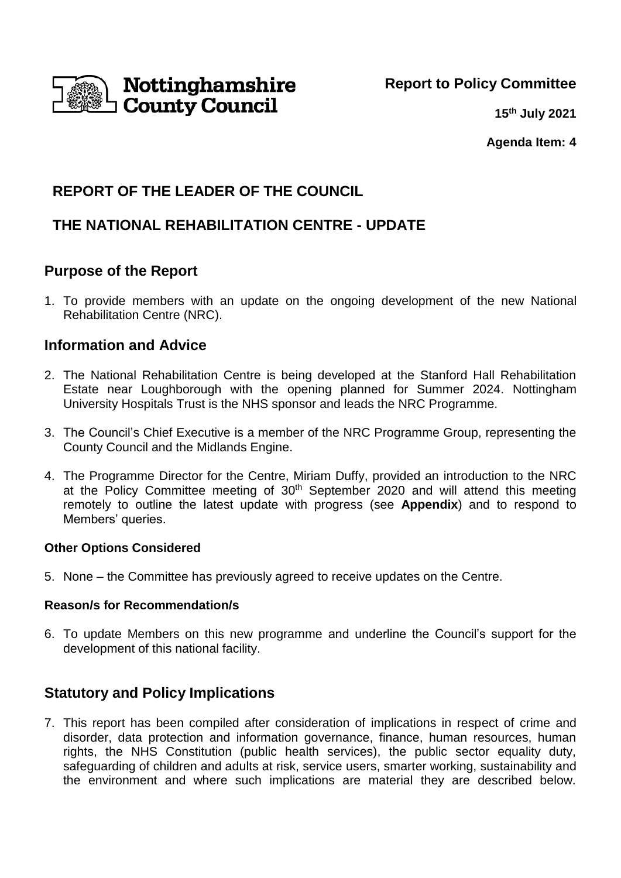

**15th July 2021**

**Agenda Item: 4**

# **REPORT OF THE LEADER OF THE COUNCIL**

# **THE NATIONAL REHABILITATION CENTRE - UPDATE**

## **Purpose of the Report**

1. To provide members with an update on the ongoing development of the new National Rehabilitation Centre (NRC).

## **Information and Advice**

- 2. The National Rehabilitation Centre is being developed at the Stanford Hall Rehabilitation Estate near Loughborough with the opening planned for Summer 2024. Nottingham University Hospitals Trust is the NHS sponsor and leads the NRC Programme.
- 3. The Council's Chief Executive is a member of the NRC Programme Group, representing the County Council and the Midlands Engine.
- 4. The Programme Director for the Centre, Miriam Duffy, provided an introduction to the NRC at the Policy Committee meeting of 30<sup>th</sup> September 2020 and will attend this meeting remotely to outline the latest update with progress (see **Appendix**) and to respond to Members' queries.

## **Other Options Considered**

5. None – the Committee has previously agreed to receive updates on the Centre.

## **Reason/s for Recommendation/s**

6. To update Members on this new programme and underline the Council's support for the development of this national facility.

# **Statutory and Policy Implications**

7. This report has been compiled after consideration of implications in respect of crime and disorder, data protection and information governance, finance, human resources, human rights, the NHS Constitution (public health services), the public sector equality duty, safeguarding of children and adults at risk, service users, smarter working, sustainability and the environment and where such implications are material they are described below.